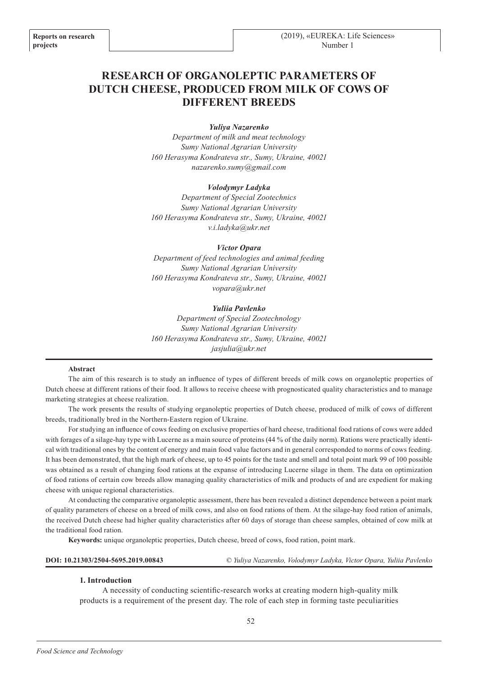# **RESEARCH OF ORGANOLEPTIC PARAMETERS OF DUTCH CHEESE, PRODUCED FROM MILK OF COWS OF DIFFERENT BREEDS**

#### *Yuliya Nazarenko*

*Department of milk and meat technology Sumy National Agrarian University 160 Herasyma Kondrateva str., Sumy, Ukraine, 40021 nazarenko.sumy@gmail.com*

## *Volodymyr Ladyka*

*Department of Special Zootechnics Sumy National Agrarian University 160 Herasyma Kondrateva str., Sumy, Ukraine, 40021 v.i.ladyka@ukr.net*

#### *Victor Opara*

*Department of feed technologies and animal feeding Sumy National Agrarian University 160 Herasyma Kondrateva str., Sumy, Ukraine, 40021 vopara@ukr.net*

## *Yuliia Pavlenko*

*Department of Special Zootechnology Sumy National Agrarian University 160 Herasyma Kondrateva str., Sumy, Ukraine, 40021 jasjulia@ukr.net*

#### **Abstract**

The aim of this research is to study an influence of types of different breeds of milk cows on organoleptic properties of Dutch cheese at different rations of their food. It allows to receive cheese with prognosticated quality characteristics and to manage marketing strategies at cheese realization.

The work presents the results of studying organoleptic properties of Dutch cheese, produced of milk of cows of different breeds, traditionally bred in the Northern-Eastern region of Ukraine.

For studying an influence of cows feeding on exclusive properties of hard cheese, traditional food rations of cows were added with forages of a silage-hay type with Lucerne as a main source of proteins (44 % of the daily norm). Rations were practically identical with traditional ones by the content of energy and main food value factors and in general corresponded to norms of cows feeding. It has been demonstrated, that the high mark of cheese, up to 45 points for the taste and smell and total point mark 99 of 100 possible was obtained as a result of changing food rations at the expanse of introducing Lucerne silage in them. The data on optimization of food rations of certain cow breeds allow managing quality characteristics of milk and products of and are expedient for making cheese with unique regional characteristics.

At conducting the comparative organoleptic assessment, there has been revealed a distinct dependence between a point mark of quality parameters of cheese on a breed of milk cows, and also on food rations of them. At the silage-hay food ration of animals, the received Dutch cheese had higher quality characteristics after 60 days of storage than cheese samples, obtained of cow milk at the traditional food ration.

**Keywords:** unique organoleptic properties, Dutch cheese, breed of cows, food ration, point mark.

| DOI: 10.21303/2504-5695.2019.00843 |  |  | © Yuliya Nazarenko, Volodymyr Ladyka, Victor Opara, Yuliia Pavlenko |
|------------------------------------|--|--|---------------------------------------------------------------------|
|------------------------------------|--|--|---------------------------------------------------------------------|

#### **1. Introduction**

A necessity of conducting scientific-research works at creating modern high-quality milk products is a requirement of the present day. The role of each step in forming taste peculiarities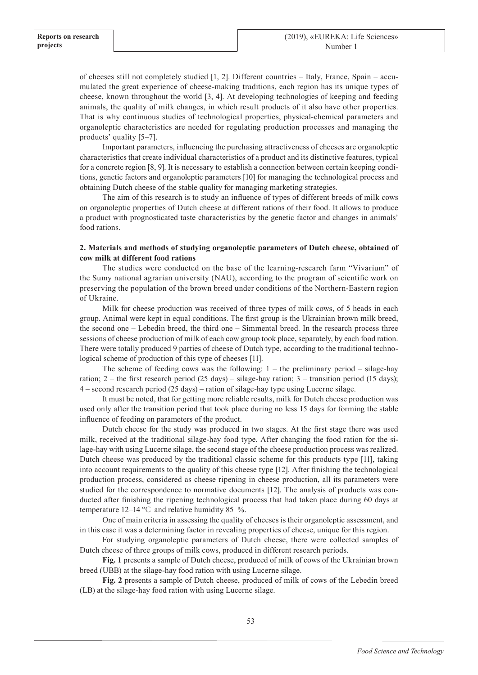of cheeses still not completely studied [1, 2]. Different countries – Italy, France, Spain – accumulated the great experience of cheese-making traditions, each region has its unique types of cheese, known throughout the world [3, 4]. At developing technologies of keeping and feeding animals, the quality of milk changes, in which result products of it also have other properties. That is why continuous studies of technological properties, physical-chemical parameters and organoleptic characteristics are needed for regulating production processes and managing the products' quality [5–7].

Important parameters, influencing the purchasing attractiveness of cheeses are organoleptic characteristics that create individual characteristics of a product and its distinctive features, typical for a concrete region [8, 9]. It is necessary to establish a connection between certain keeping conditions, genetic factors and organoleptic parameters [10] for managing the technological process and obtaining Dutch cheese of the stable quality for managing marketing strategies.

The aim of this research is to study an influence of types of different breeds of milk cows on organoleptic properties of Dutch cheese at different rations of their food. It allows to produce a product with prognosticated taste characteristics by the genetic factor and changes in animals' food rations.

## **2. Materials and methods of studying organoleptic parameters of Dutch cheese, obtained of cow milk at different food rations**

The studies were conducted on the base of the learning-research farm "Vivarium" of the Sumy national agrarian university (NAU), according to the program of scientific work on preserving the population of the brown breed under conditions of the Northern-Eastern region of Ukraine.

Milk for cheese production was received of three types of milk cows, of 5 heads in each group. Animal were kept in equal conditions. The first group is the Ukrainian brown milk breed, the second one – Lebedin breed, the third one – Simmental breed. In the research process three sessions of cheese production of milk of each cow group took place, separately, by each food ration. There were totally produced 9 parties of cheese of Dutch type, according to the traditional technological scheme of production of this type of cheeses [11].

The scheme of feeding cows was the following:  $1 -$  the preliminary period  $-$  silage-hay ration; 2 – the first research period (25 days) – silage-hay ration; 3 – transition period (15 days); 4 – second research period (25 days) – ration of silage-hay type using Lucerne silage.

It must be noted, that for getting more reliable results, milk for Dutch cheese production was used only after the transition period that took place during no less 15 days for forming the stable influence of feeding on parameters of the product.

Dutch cheese for the study was produced in two stages. At the first stage there was used milk, received at the traditional silage-hay food type. After changing the food ration for the silage-hay with using Lucerne silage, the second stage of the cheese production process was realized. Dutch cheese was produced by the traditional classic scheme for this products type [11], taking into account requirements to the quality of this cheese type [12]. After finishing the technological production process, considered as cheese ripening in cheese production, all its parameters were studied for the correspondence to normative documents [12]. The analysis of products was conducted after finishing the ripening technological process that had taken place during 60 days at temperature  $12-14$  °C and relative humidity 85 %.

One of main criteria in assessing the quality of cheeses is their organoleptic assessment, and in this case it was a determining factor in revealing properties of cheese, unique for this region.

For studying organoleptic parameters of Dutch cheese, there were collected samples of Dutch cheese of three groups of milk cows, produced in different research periods.

**Fig. 1** presents a sample of Dutch cheese, produced of milk of cows of the Ukrainian brown breed (UBB) at the silage-hay food ration with using Lucerne silage.

**Fig. 2** presents a sample of Dutch cheese, produced of milk of cows of the Lebedin breed (LB) at the silage-hay food ration with using Lucerne silage.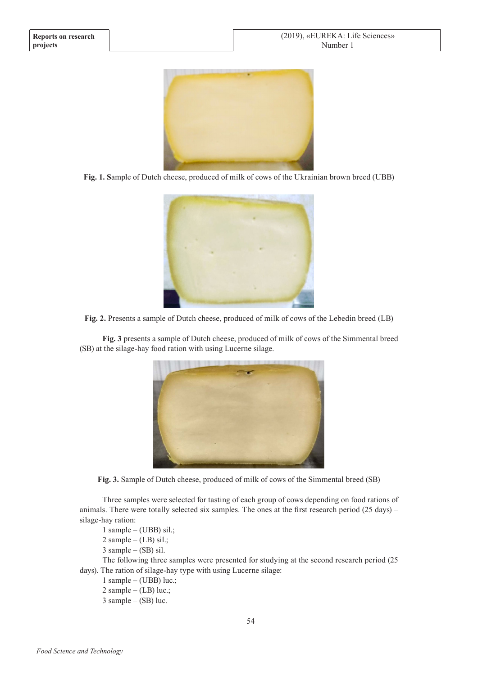

**Fig. 1. S**ample of Dutch cheese, produced of milk of cows of the Ukrainian brown breed (UBB)





**Fig. 3** presents a sample of Dutch cheese, produced of milk of cows of the Simmental breed (SB) at the silage-hay food ration with using Lucerne silage.



**Fig. 3.** Sample of Dutch cheese, produced of milk of cows of the Simmental breed (SB)

Three samples were selected for tasting of each group of cows depending on food rations of animals. There were totally selected six samples. The ones at the first research period (25 days) – silage-hay ration:

1 sample – (UBB) sil.;

 $2$  sample – (LB) sil.;

3 sample – (SB) sil.

The following three samples were presented for studying at the second research period (25 days). The ration of silage-hay type with using Lucerne silage:

- 1 sample (UBB) luc.;
- 2 sample  $(LB)$  luc.;
- $3$  sample (SB) luc.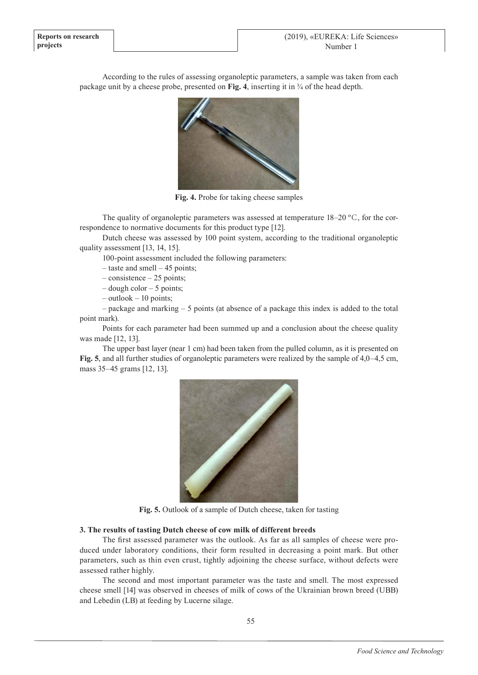According to the rules of assessing organoleptic parameters, a sample was taken from each package unit by a cheese probe, presented on **Fig. 4**, inserting it in ¾ of the head depth.



**Fig. 4.** Probe for taking cheese samples

The quality of organoleptic parameters was assessed at temperature  $18-20$  °C, for the correspondence to normative documents for this product type [12].

Dutch cheese was assessed by 100 point system, according to the traditional organoleptic quality assessment [13, 14, 15].

100-point assessment included the following parameters:

– taste and smell – 45 points;

– consistence – 25 points;

– dough color – 5 points;

– outlook – 10 points;

– package and marking – 5 points (at absence of a package this index is added to the total point mark).

Points for each parameter had been summed up and a conclusion about the cheese quality was made [12, 13].

The upper bast layer (near 1 cm) had been taken from the pulled column, as it is presented on **Fig. 5**, and all further studies of organoleptic parameters were realized by the sample of 4,0–4,5 cm, mass 35–45 grams [12, 13].



**Fig. 5.** Outlook of a sample of Dutch cheese, taken for tasting

## **3. The results of tasting Dutch cheese of cow milk of different breeds**

The first assessed parameter was the outlook. As far as all samples of cheese were produced under laboratory conditions, their form resulted in decreasing a point mark. But other parameters, such as thin even crust, tightly adjoining the cheese surface, without defects were assessed rather highly.

The second and most important parameter was the taste and smell. The most expressed cheese smell [14] was observed in cheeses of milk of cows of the Ukrainian brown breed (UBB) and Lebedin (LB) at feeding by Lucerne silage.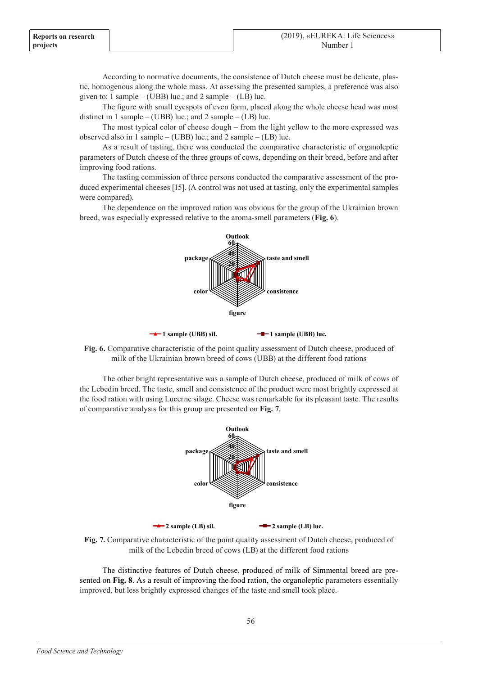According to normative documents, the consistence of Dutch cheese must be delicate, plastic, homogenous along the whole mass. At assessing the presented samples, a preference was also given to: 1 sample – (UBB) luc.; and 2 sample – (LB) luc.

The figure with small eyespots of even form, placed along the whole cheese head was most distinct in 1 sample – (UBB) luc.; and 2 sample – (LB) luc.

The most typical color of cheese dough – from the light yellow to the more expressed was observed also in 1 sample – (UBB) luc.; and 2 sample – (LB) luc.

As a result of tasting, there was conducted the comparative characteristic of organoleptic parameters of Dutch cheese of the three groups of cows, depending on their breed, before and after improving food rations.

The tasting commission of three persons conducted the comparative assessment of the produced experimental cheeses [15]. (A control was not used at tasting, only the experimental samples were compared).

The dependence on the improved ration was obvious for the group of the Ukrainian brown breed, was especially expressed relative to the aroma-smell parameters (**Fig. 6**).







The other bright representative was a sample of Dutch cheese, produced of milk of cows of the Lebedin breed. The taste, smell and consistence of the product were most brightly expressed at the food ration with using Lucerne silage. Cheese was remarkable for its pleasant taste. The results of comparative analysis for this group are presented on **Fig. 7**.





The distinctive features of Dutch cheese, produced of milk of Simmental breed are presented on **Fig. 8**. As a result of improving the food ration, the organoleptic parameters essentially improved, but less brightly expressed changes of the taste and smell took place.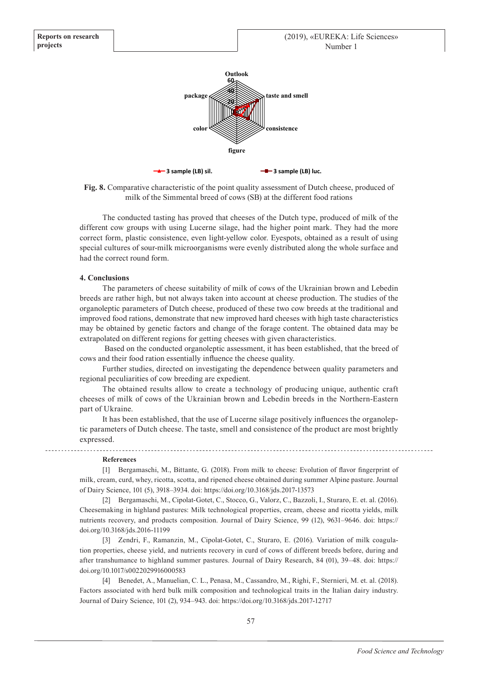



The conducted tasting has proved that cheeses of the Dutch type, produced of milk of the different cow groups with using Lucerne silage, had the higher point mark. They had the more correct form, plastic consistence, even light-yellow color. Eyespots, obtained as a result of using special cultures of sour-milk microorganisms were evenly distributed along the whole surface and had the correct round form.

#### **4. Conclusions**

**Reports on research**

**projects**

The parameters of cheese suitability of milk of cows of the Ukrainian brown and Lebedin breeds are rather high, but not always taken into account at cheese production. The studies of the organoleptic parameters of Dutch cheese, produced of these two cow breeds at the traditional and improved food rations, demonstrate that new improved hard cheeses with high taste characteristics may be obtained by genetic factors and change of the forage content. The obtained data may be extrapolated on different regions for getting cheeses with given characteristics.

 Based on the conducted organoleptic assessment, it has been established, that the breed of cows and their food ration essentially influence the cheese quality.

Further studies, directed on investigating the dependence between quality parameters and regional peculiarities of cow breeding are expedient.

The obtained results allow to create a technology of producing unique, authentic craft cheeses of milk of cows of the Ukrainian brown and Lebedin breeds in the Northern-Eastern part of Ukraine.

It has been established, that the use of Lucerne silage positively influences the organoleptic parameters of Dutch cheese. The taste, smell and consistence of the product are most brightly expressed.

#### **References**

[1] Bergamaschi, M., Bittante, G. (2018). From milk to cheese: Evolution of flavor fingerprint of milk, cream, curd, whey, ricotta, scotta, and ripened cheese obtained during summer Alpine pasture. Journal of Dairy Science, 101 (5), 3918–3934. doi: https://doi.org/10.3168/jds.2017-13573

[2] Bergamaschi, M., Cipolat-Gotet, C., Stocco, G., Valorz, C., Bazzoli, I., Sturaro, E. et. al. (2016). Cheesemaking in highland pastures: Milk technological properties, cream, cheese and ricotta yields, milk nutrients recovery, and products composition. Journal of Dairy Science, 99 (12), 9631–9646. doi: https:// doi.org/10.3168/jds.2016-11199

[3] Zendri, F., Ramanzin, M., Cipolat-Gotet, C., Sturaro, E. (2016). Variation of milk coagulation properties, cheese yield, and nutrients recovery in curd of cows of different breeds before, during and after transhumance to highland summer pastures. Journal of Dairy Research, 84 (01), 39–48. doi: https:// doi.org/10.1017/s0022029916000583

[4] Benedet, A., Manuelian, C. L., Penasa, M., Cassandro, M., Righi, F., Sternieri, M. et. al. (2018). Factors associated with herd bulk milk composition and technological traits in the Italian dairy industry. Journal of Dairy Science, 101 (2), 934–943. doi: https://doi.org/10.3168/jds.2017-12717